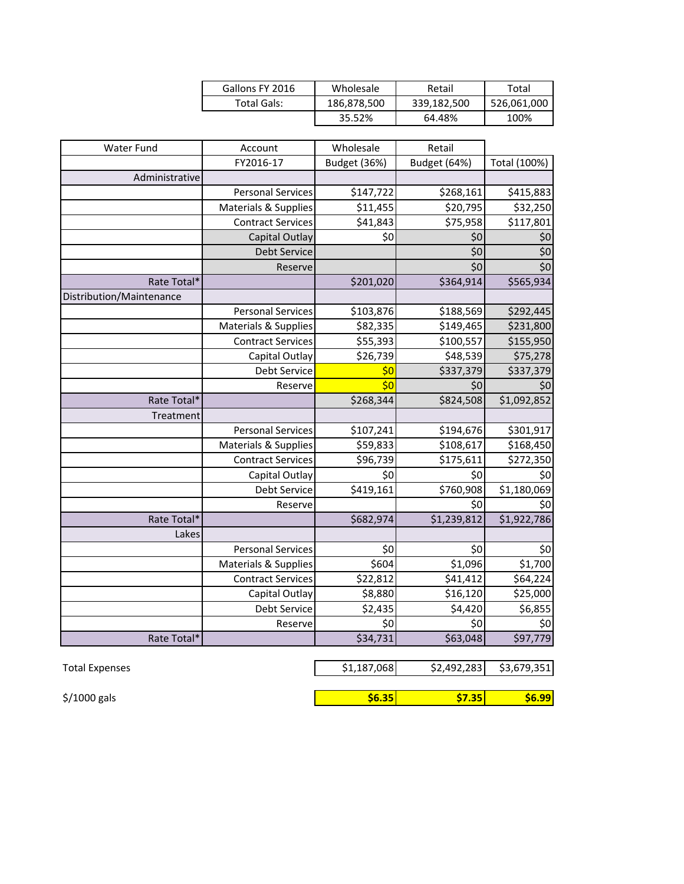| Gallons FY 2016 | Wholesale   | Retail      | Total       |
|-----------------|-------------|-------------|-------------|
| Total Gals:     | 186,878,500 | 339,182,500 | 526,061,000 |
|                 | 35.52%      | 64.48%      | 100%        |

| <b>Water Fund</b>        | Account                         | Wholesale    | Retail       |                  |
|--------------------------|---------------------------------|--------------|--------------|------------------|
|                          | FY2016-17                       | Budget (36%) | Budget (64%) | Total (100%)     |
| Administrative           |                                 |              |              |                  |
|                          | <b>Personal Services</b>        | \$147,722    | \$268,161    | \$415,883        |
|                          | Materials & Supplies            | \$11,455     | \$20,795     | \$32,250         |
|                          | <b>Contract Services</b>        | \$41,843     | \$75,958     | \$117,801        |
|                          | Capital Outlay                  | \$0          | \$0          | \$0              |
|                          | <b>Debt Service</b>             |              | \$0          | $\overline{\xi}$ |
|                          | Reserve                         |              | \$0          | $\overline{\xi}$ |
| Rate Total*              |                                 | \$201,020    | \$364,914    | \$565,934        |
| Distribution/Maintenance |                                 |              |              |                  |
|                          | <b>Personal Services</b>        | \$103,876    | \$188,569    | \$292,445        |
|                          | <b>Materials &amp; Supplies</b> | \$82,335     | \$149,465    | \$231,800        |
|                          | <b>Contract Services</b>        | \$55,393     | \$100,557    | \$155,950        |
|                          | Capital Outlay                  | \$26,739     | \$48,539     | \$75,278         |
|                          | Debt Service                    | \$0          | \$337,379    | \$337,379        |
|                          | Reserve                         | \$0          | \$0          | \$0              |
| Rate Total*              |                                 | \$268,344    | \$824,508    | \$1,092,852      |
| Treatment                |                                 |              |              |                  |
|                          | <b>Personal Services</b>        | \$107,241    | \$194,676    | \$301,917        |
|                          | <b>Materials &amp; Supplies</b> | \$59,833     | \$108,617    | \$168,450        |
|                          | <b>Contract Services</b>        | \$96,739     | \$175,611    | \$272,350        |
|                          | Capital Outlay                  | \$0          | \$0          | \$0              |
|                          | Debt Service                    | \$419,161    | \$760,908    | \$1,180,069      |
|                          | Reserve                         |              | \$0          | \$0              |
| Rate Total*              |                                 | \$682,974    | \$1,239,812  | \$1,922,786      |
| Lakes                    |                                 |              |              |                  |
|                          | <b>Personal Services</b>        | \$0          | \$0          | \$0              |
|                          | <b>Materials &amp; Supplies</b> | \$604        | \$1,096      | \$1,700          |
|                          | <b>Contract Services</b>        | \$22,812     | \$41,412     | \$64,224         |
|                          | Capital Outlay                  | \$8,880      | \$16,120     | \$25,000         |
|                          | Debt Service                    | \$2,435      | \$4,420      | \$6,855          |
|                          | Reserve                         | \$0          | \$0          | \$0              |
| Rate Total*              |                                 | \$34,731     | \$63,048     | \$97,779         |
|                          |                                 |              |              |                  |

| Total Expenses           | \$1,187,068 | \$2,492,283   | \$3,679,351 |
|--------------------------|-------------|---------------|-------------|
|                          |             |               |             |
| $\frac{1}{2}$ /1000 gals | \$6.35      | <b>S7.351</b> | \$6.99      |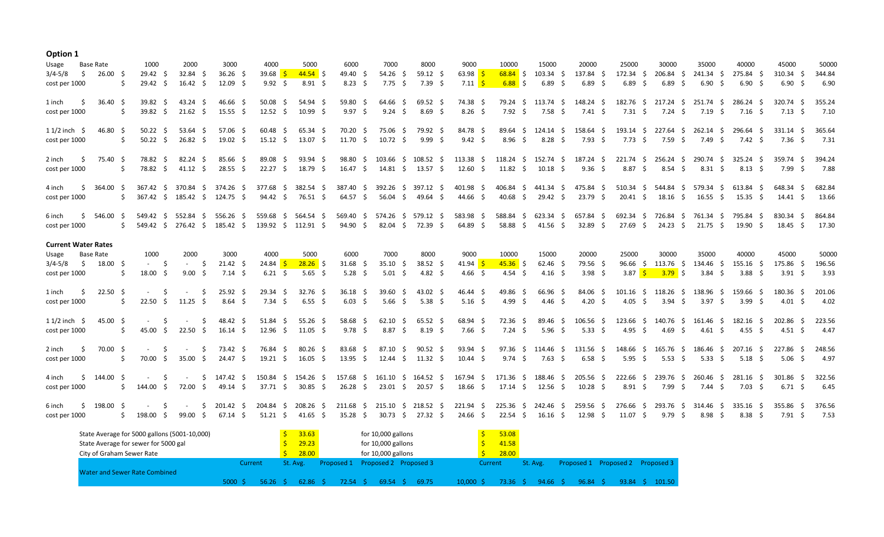## **Option 1**

| Usage                      | Base Rate        | 1000                          |    | 2000                         | 3000                          | 4000                             | 5000                                                 | 6000             | 7000               | 8000                                               | 9000                                    | 10000               | 15000                          | 20000                                     | 25000                                     | 30000                   | 35000                         | 40000                                   | 45000                       | 50000          |
|----------------------------|------------------|-------------------------------|----|------------------------------|-------------------------------|----------------------------------|------------------------------------------------------|------------------|--------------------|----------------------------------------------------|-----------------------------------------|---------------------|--------------------------------|-------------------------------------------|-------------------------------------------|-------------------------|-------------------------------|-----------------------------------------|-----------------------------|----------------|
| \$<br>$3/4 - 5/8$          | 26.00 \$         | $29.42 \quad$ \$              |    | 32.84 \$                     | $36.26$ \$                    | 39.68 $\frac{1}{5}$              | $44.54$ \$                                           | 49.40 \$         | $54.26$ \$         | $59.12 \quad $$                                    | 63.98 \$                                |                     | $\frac{68.84}{5}$ \$ 103.34 \$ | 137.84 \$                                 | 172.34 \$                                 |                         | 206.84 \$ 241.34 \$           | 275.84 \$                               | $310.34 \quad $$            | 344.84         |
| cost per 1000              | Ŝ.               | $29.42 \quad$                 |    | $16.42 \quad$ \$             | 12.09 <sup>5</sup>            | $9.92 \quad$ \$                  | 8.91 <sup>5</sup>                                    | $8.23 \quad$ \$  | 7.75 \$            | 7.39 \$                                            | 7.11 <mark>\$</mark>                    | $6.88$ \$           | $6.89 \quad $$                 | $6.89$ \$                                 | $6.89$ \$                                 | $6.89$ \$               | 6.90 <sup>5</sup>             | 6.90S                                   | $6.90 \quad $$              | 6.90           |
| 1 inch<br>- S              | $36.40 \quad$ \$ | $39.82 \quad S$               |    | 43.24 \$                     | 46.66 \$                      | 50.08 \$                         | 54.94 S                                              | 59.80 \$         | 64.66 \$           | 69.52 \$                                           | 74.38 \$                                |                     |                                | 79.24 \$ 113.74 \$ 148.24 \$              | 182.76 \$ 217.24 \$ 251.74 \$             |                         |                               | 286.24 S                                | 320.74 S                    | 355.24         |
| cost per 1000              | Ŝ.               | 39.82 \$                      |    | 21.62<br>S.                  | $15.55$ \$                    | $12.52 \quad$ \$                 | 10.99 \$                                             | $9.97$ \$        | $9.24 \quad $$     | $8.69$ \$                                          | $8.26$ \$                               | $7.92 \quad $$      | 7.58 \$                        | $7.41 \quad$ \$                           | $7.31 \quad $5$                           | $7.24 \quad$ \$         | $7.19 \pm$                    | $7.16$ \$                               | $7.13 \quad$ \$             | 7.10           |
| $11/2$ inch \$             | 46.80 \$         | $50.22 \quad S$               |    | $53.64$ \$                   | 57.06 \$                      | $60.48 \quad S$                  | 65.34 \$                                             | 70.20 \$         |                    | 75.06 \$ 79.92 \$                                  | 84.78 \$                                |                     | 89.64 \$ 124.14 \$             | 158.64 \$                                 |                                           |                         |                               | 193.14 \$ 227.64 \$ 262.14 \$ 296.64 \$ | $331.14$ \$                 | 365.64         |
| cost per 1000              | Ŝ.               | $50.22 \quad$ \$              |    | 26.82<br>- \$                | $19.02 \quad$ \$              | $15.12 \quad $$                  | $13.07 \quad$ \$                                     | $11.70 \pm 1$    | $10.72 \quad$ \$   | $9.99$ \$                                          | $9.42 \quad $$                          | $8.96\quad$ \$      | $8.28\quad$ \$                 | $7.93 \quad$ \$                           | $7.73 \quad $$                            | 7.59 \$                 | 7.49 \$                       | 7.42 \$                                 | 7.36 S                      | 7.31           |
| 2 inch                     | 75.40 \$         | 78.82 \$                      |    | $82.24$ \$                   | 85.66 \$                      | 89.08 \$                         | 93.94 \$                                             |                  |                    |                                                    | 98.80 \$ 103.66 \$ 108.52 \$ 113.38 \$  | 118.24 \$ 152.74 \$ |                                | 187.24 \$                                 |                                           |                         |                               | 221.74 \$ 256.24 \$ 290.74 \$ 325.24 \$ | 359.74 \$                   | 394.24         |
| cost per 1000              | S.               | 78.82 \$                      |    | $41.12 \quad $$              | 28.55 \$                      | $22.27$ \$                       | 18.79 \$                                             |                  |                    | $16.47 \div 14.81 \div 13.57 \div$                 | $12.60 \quad $$                         | $11.82 \quad $$     | $10.18 \pm 5$                  | $9.36 \quad $$                            | $8.87 \quad$ \$                           | $8.54$ \$               | $8.31 \quad $5$               | $8.13 \quad S$                          | 7.99 \$                     | 7.88           |
| 4 inch<br>S.               | 364.00 \$        |                               |    | 367.42 \$ 370.84 \$          | 374.26 \$                     |                                  | 377.68 \$ 382.54 \$                                  |                  |                    | 387.40 \$ 392.26 \$ 397.12 \$                      | 401.98 \$                               | 406.84 \$ 441.34 \$ |                                | 475.84 \$                                 |                                           |                         |                               | 510.34 \$ 544.84 \$ 579.34 \$ 613.84 \$ | 648.34 \$                   | 682.84         |
| cost per 1000              |                  | \$                            |    |                              | 367.42 \$ 185.42 \$ 124.75 \$ |                                  | $94.42 \div 76.51 \div$                              | 64.57 \$         |                    | 56.04 \$ 49.64 \$                                  | 44.66 \$                                | 40.68 \$            | 29.42 \$                       | 23.79 \$                                  |                                           | $20.41 \div 18.16 \div$ | $16.55 \div$                  | $15.35\quad$ \$                         | 14.41 \$                    | 13.66          |
| 6 inch<br>Ŝ.               | 546.00 \$        |                               |    | 549.42 \$ 552.84 \$          | 556.26 \$                     |                                  | 559.68 \$ 564.54 \$                                  | 569.40 \$        |                    | 574.26 \$ 579.12 \$                                | 583.98 \$                               | 588.84 \$ 623.34 \$ |                                | 657.84 \$                                 |                                           |                         | 692.34 \$ 726.84 \$ 761.34 \$ | 795.84 \$                               | 830.34 \$                   | 864.84         |
| cost per 1000              |                  | Ś.                            |    | 549.42 \$ 276.42 \$          |                               | 185.42 \$ 139.92 \$ 112.91 \$    |                                                      | 94.90 \$         |                    | 82.04 \$ 72.39 \$                                  | 64.89 \$                                | 58.88 \$            | $41.56$ \$                     | 32.89 S                                   | 27.69 \$                                  | 24.23 \$                | 21.75 \$                      | 19.90 \$                                | $18.45 \quad$ \$            | 17.30          |
|                            |                  |                               |    |                              |                               |                                  |                                                      |                  |                    |                                                    |                                         |                     |                                |                                           |                                           |                         |                               |                                         |                             |                |
| <b>Current Water Rates</b> |                  |                               |    |                              |                               |                                  |                                                      |                  |                    |                                                    |                                         |                     |                                |                                           |                                           |                         |                               |                                         |                             |                |
| Usage                      | Base Rate        | 1000                          |    | 2000                         | 3000                          | 4000                             | 5000                                                 | 6000             | 7000               | 8000                                               | 9000                                    | 10000               | 15000                          | 20000                                     | 25000                                     | 30000                   | 35000                         | 40000                                   | 45000                       | 50000          |
| $3/4 - 5/8$ \$ 18.00 \$    |                  | $\omega_{\rm{max}}$           | S. | S.<br>$\sim 100$             | $21.42 \quad$ \$              | 24.84 S                          | $28.26$ \$                                           | $31.68$ \$       | $35.10 \div$       | 38.52 \$                                           | 41.94 $\frac{\xi}{2}$                   | $45.36$ \$          | $62.46$ \$                     | 79.56 \$                                  | $96.66$ \$                                |                         | 113.76 \$ 134.46 \$           | 155.16 \$                               | 175.86 \$                   | 196.56         |
| cost per 1000              | .s               | $18.00 \div$                  |    | $9.00 \quad $$               | $7.14 \quad$ \$               | $6.21 \quad$ \$                  | $5.65$ \$                                            | $5.28 \quad$ \$  | $5.01 \; \text{S}$ | 4.82 \$                                            | 4.66 \$                                 | 4.54 \$             | $4.16 \quad$ \$                | 3.98 \$                                   | 3.87 $\frac{\mathsf{S}}{\mathsf{S}}$      | $\frac{3.79}{5}$        | 3.84 \$                       | 3.88 <sup>5</sup>                       | $3.91 \quad $5$             | 3.93           |
| 1 inch                     | $22.50\quad$ \$  |                               | S. | S.                           | $25.92 \quad$                 | $29.34 \quad $$                  | $32.76$ \$                                           | $36.18 \quad$ \$ | $39.60 \quad $$    | 43.02 \$                                           | $46.44 \quad $$                         | 49.86 \$            | 66.96 \$                       | $84.06 \quad $$                           |                                           |                         | 101.16 \$ 118.26 \$ 138.96 \$ | 159.66 \$                               | $180.36 \quad $$            | 201.06         |
| cost per 1000              | Ŝ.               |                               |    | 22.50 \$ 11.25 \$            | $8.64$ \$                     | $7.34 \quad $5$                  | $6.55$ \$                                            | $6.03 \quad $$   | $5.66$ \$          | $5.38 \quad $$                                     | $5.16 \quad $$                          | 4.99 \$             | 4.46 \$                        | 4.20 \$                                   | 4.05 \$                                   | $3.94 \quad$ \$         | 3.97 \$                       | 3.99 <sup>5</sup>                       | 4.01 \$                     | 4.02           |
| $11/2$ inch $\sim$         | 45.00 \$         | $\sim$                        | S. | S.                           | 48.42 \$                      | 51.84 \$                         | 55.26 \$                                             | 58.68 \$         | $62.10 \quad $$    | $65.52 \quad $$                                    | 68.94 \$                                | 72.36 \$            | 89.46 \$                       | 106.56 \$                                 | 123.66 \$ 140.76 \$ 161.46 \$             |                         |                               | 182.16 \$                               | 202.86 \$                   | 223.56         |
| cost per 1000              | S.               | 45.00 \$                      |    | $22.50\quad$ \$              | $16.14 \quad$ \$              | $12.96 \quad $$                  | $11.05 \quad$ \$                                     | $9.78$ \$        | $8.87 \quad$ \$    | $8.19 \quad$ \$                                    | $7.66$ \$                               | $7.24 \quad$ \$     | $5.96 \quad $$                 | $5.33 \quad $$                            | 4.95 \$                                   | 4.69 \$                 | 4.61 \$                       | $4.55$ \$                               | $4.51 \quad$ \$             | 4.47           |
| 2 inch                     | 70.00 \$         | $\sim$                        | S. | S.<br>$\sim 100$             | 73.42 S                       | 76.84 \$                         | 80.26 \$                                             | $83.68$ \$       | 87.10 \$           | $90.52 \quad $$                                    | 93.94 \$                                |                     | 97.36 \$ 114.46 \$             | 131.56 \$                                 | 148.66 \$ 165.76 \$ 186.46 \$             |                         |                               | 207.16 \$                               | 227.86 \$                   | 248.56         |
| cost per 1000              | Ŝ.               | 70.00 \$                      |    | 35.00 \$                     | 24.47 \$                      | $19.21 \quad $$                  | $16.05 \quad$ \$                                     | $13.95 \quad $$  |                    | 12.44 \$ 11.32 \$                                  | $10.44 \quad$ \$                        | $9.74 \quad $5$     | $7.63 \quad $$                 | $6.58$ \$                                 | $5.95 \quad $$                            | $5.53 \quad $$          | 5.33 \$                       | $5.18 \quad$ \$                         | 5.06 <sub>5</sub>           | 4.97           |
| 4 inch<br>S.               | 144.00 \$        | $\sim$ $-$                    | Ŝ. | $\sim$                       |                               | \$ 147.42 \$ 150.84 \$ 154.26 \$ |                                                      |                  |                    | 157.68 \$ 161.10 \$ 164.52 \$                      | 167.94 \$ 171.36 \$ 188.46 \$ 205.56 \$ |                     |                                |                                           | 222.66 \$ 239.76 \$ 260.46 \$             |                         |                               | 281.16 \$                               | 301.86 S                    | 322.56         |
| cost per 1000              | Ŝ.               | 144.00 \$                     |    | 72.00 \$                     | 49.14 \$                      | 37.71 \$                         | 30.85 \$                                             | $26.28 \quad$ \$ |                    | 23.01 \$ 20.57 \$                                  | 18.66 \$                                | $17.14 \div$        | $12.56$ \$                     | $10.28 \quad$ \$                          | $8.91 \quad $$                            | 7.99 \$                 | $7.44 \pm 5$                  | 7.03 \$                                 | $6.71 \quad $5$             | 6.45           |
| 6 inch<br>cost per 1000    | \$198.00\$       | $\sim 100$<br>198.00 \$<br>S. | S. | \$<br>$\sim 100$<br>99.00 \$ | 201.42 \$<br>67.14 \$         |                                  | 204.84 \$ 208.26 \$<br>$51.21 \quad $41.65 \quad $5$ | 35.28 \$         |                    | 211.68 \$ 215.10 \$ 218.52 \$<br>30.73 \$ 27.32 \$ | 221.94 \$<br>24.66 \$ 22.54 \$ 16.16 \$ |                     |                                | 225.36 \$ 242.46 \$ 259.56 \$<br>12.98 \$ | 276.66 \$ 293.76 \$ 314.46 \$<br>11.07 \$ | 9.79 \$                 | 8.98 \$                       | 335.16 \$<br>$8.38 \quad$ \$            | $355.86 \quad $$<br>7.91 \$ | 376.56<br>7.53 |

| State Average for 5000 gallons (5001-10,000) | 33.63 |         | for 10,000 gallons |                    |       | 53.08              |                                  |         |         |          |                    |                                  |       |        |
|----------------------------------------------|-------|---------|--------------------|--------------------|-------|--------------------|----------------------------------|---------|---------|----------|--------------------|----------------------------------|-------|--------|
| State Average for sewer for 5000 gal         |       | 29.23   |                    | for 10,000 gallons |       |                    | 41.58                            |         |         |          |                    |                                  |       |        |
| City of Graham Sewer Rate                    |       |         |                    | 28.00              |       | for 10,000 gallons |                                  |         | 28.00   |          |                    |                                  |       |        |
|                                              |       | Current |                    | St. Avg.           |       |                    | Proposed 1 Proposed 2 Proposed 3 |         | Current | St. Avg. |                    | Proposed 1 Proposed 2 Proposed 3 |       |        |
| Water and Sewer Rate Combined                |       |         |                    |                    |       |                    |                                  |         |         |          |                    |                                  |       |        |
|                                              | 5000S |         | 56.26 S            | 62.86              | 72.54 | 69.54              | 69.75                            | 10.000S | 73.36   |          | 94.66 <sub>5</sub> | 96.84                            | 93.84 | 101.50 |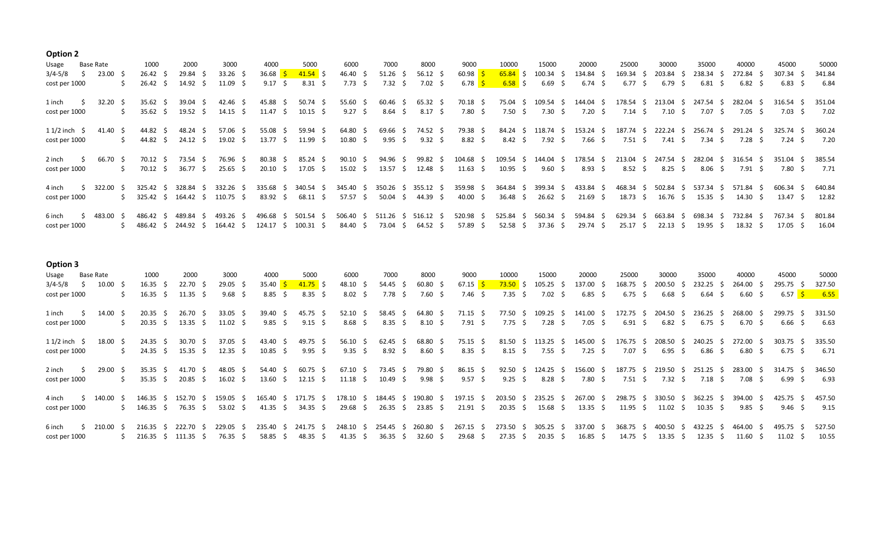## **Option 2**

| Usage              | Base Rate       |    | 1000             |        | 2000             | 3000             | 4000                |     | 5000             |     | 6000            |     | 7000                | 8000            |     | 9000                                 |     | 10000           |     | 15000            |    | 20000                         | 25000             |     | 30000           |     | 35000             |     | 40000           | 45000            | 50000  |
|--------------------|-----------------|----|------------------|--------|------------------|------------------|---------------------|-----|------------------|-----|-----------------|-----|---------------------|-----------------|-----|--------------------------------------|-----|-----------------|-----|------------------|----|-------------------------------|-------------------|-----|-----------------|-----|-------------------|-----|-----------------|------------------|--------|
| 3/4-5/8            | $23.00 \quad $$ |    | $26.42 \quad$ \$ |        | 29.84 \$         | $33.26$ \$       | 36.68 $\frac{1}{5}$ |     | $41.54$ \$       |     | 46.40 \$        |     | $51.26 \quad $$     | $56.12 \quad $$ |     | $60.98$ $\frac{\text{}}{\text{}}$    |     | $65.84$ \$      |     | $100.34 \quad $$ |    | 134.84 \$                     | $169.34 \quad$ \$ |     | 203.84          |     | 238.34            |     | 272.84 \$       | $307.34 \quad $$ | 341.84 |
| cost per 1000      |                 |    | $26.42 \quad$    |        | $14.92 \quad$ \$ | $11.09 \quad$ \$ | $9.17 \pm$          |     | $8.31 \quad $5$  |     | $7.73 \quad$ \$ |     | 7.32 \$             | $7.02 \quad $$  |     | 6.78 $\frac{\mathsf{S}}{\mathsf{S}}$ |     | $6.58$ \$       |     | $6.69 \div$      |    | $6.74 \quad$ \$               | $6.77 \quad$ \$   |     | 6.79            | 5   | 6.81              |     | $6.82 \quad$ \$ | 6.83<br>- 5      | 6.84   |
| 1 inch             | 32.20           |    | 35.62            |        | 39.04            | 42.46 \$         | 45.88               |     | 50.74            | - S | 55.60           |     | 60.46               | $65.32 \quad $$ |     | 70.18 \$                             |     | 75.04           | -Ŝ  | 109.54           | -S | 144.04<br>- S                 | 178.54 \$         |     | 213.04          | -S  | 247.54            |     | 282.04          | 316.54           | 351.04 |
| cost per 1000      |                 |    | 35.62<br>-S      |        | 19.52            | $14.15 \quad$ \$ | 11.47               | - 5 | $10.15 \quad$ \$ |     | $9.27 \pm$      |     | 8.64                | 8.17            | - S | 7.80 \$                              |     | 7.50            | -S  | $7.30 \quad$ \$  |    | $7.20 \pm 5$                  | $7.14 \quad$ \$   |     | $7.10 \pm$      |     | 7.07              |     | $7.05 \quad S$  | $7.03 \quad S$   | 7.02   |
| $11/2$ inch $\sim$ | 41.40 S         |    | 44.82 \$         |        | 48.24            | $57.06$ \$       | $55.08 \quad $$     |     | 59.94 \$         |     | $64.80 \div$    |     | $69.66$ \$          | 74.52 \$        |     | 79.38 \$                             |     | 84.24           | S.  | 118.74 \$        |    | 153.24 \$                     | 187.74 \$         |     | 222.24          | - S | 256.74            | - 5 | 291.24 \$       | 325.74 \$        | 360.24 |
| cost per 1000      |                 | S. | 44.82 \$         |        | 24.12 \$         | $19.02 \quad$ \$ | 13.77 \$            |     | 11.99 \$         |     | $10.80 \div$    |     | $9.95 \; \; \; \$$  | $9.32 \div$     |     | 8.82 \$                              |     | $8.42 \quad$ \$ |     | 7.92 \$          |    | 7.66 \$                       | 7.51 \$           |     | 7.41 \$         |     | 7.34 \$           |     | 7.28 S          | 7.24 S           | 7.20   |
| 2 inch             | 66.70 \$        |    | 70.12 S          |        | 73.54<br>- 5     | 76.96 \$         | $80.38 \quad $$     |     | 85.24 \$         |     | $90.10 \pm$     |     | 94.96 \$            | 99.82 \$        |     | 104.68 \$                            |     |                 |     |                  |    | 109.54 \$ 144.04 \$ 178.54 \$ | 213.04 \$         |     | 247.54          | - S | 282.04            | - S | 316.54 S        | 351.04<br>- S    | 385.54 |
| cost per 1000      |                 |    | 70.12 \$         |        | 36.77            | $25.65$ \$       | $20.10 \quad$ \$    |     | 17.05 \$         |     | 15.02           | -5  | $13.57 \quad$ \$    | 12.48 \$        |     | $11.63 \quad $$                      |     | 10.95           | - Ś | $9.60 \quad $$   |    | $8.93 \quad $5$               | $8.52 \quad S$    |     | $8.25 \quad$ \$ |     | 8.06 <sup>5</sup> |     | 7.91 S          | 7.80 \$          | 7.71   |
| 4 inch             | 322.00          |    | 325.42 S         |        | 328.84 S         | 332.26 \$        | 335.68 \$           |     | 340.54 \$        |     | 345.40 \$       |     | 350.26 \$ 355.12 \$ |                 |     | 359.98 \$                            |     | 364.84 \$       |     | 399.34 \$        |    | 433.84 \$                     | 468.34 \$         |     | 502.84          | -S. | 537.34            | - 5 | 571.84 \$       | 606.34 \$        | 640.84 |
| cost per 1000      |                 |    | 325.42 \$        |        | 164.42 \$        | 110.75 \$        | $83.92 \quad $$     |     | 68.11 \$         |     | 57.57           | -S. | 50.04 \$            | 44.39 \$        |     | 40.00 \$                             |     | 36.48           | -S  | 26.62 \$         |    | $21.69 \quad$ \$              | 18.73 \$          |     | 16.76 \$        |     | 15.35             | - 5 | 14.30           | 13.47<br>- S     | 12.82  |
| 6 inch             | 483.00          |    | 486.42           | 489.84 |                  | 493.26           | 496.68              |     | 501.54           |     | 506.40          |     | 511.26              | 516.12          | -5  | 520.98                               | -S. | 525.84          | -S. | $560.34 \quad $$ |    | 594.84                        | 629.34            | - 5 | 663.84          |     | 698.34            |     | 732.84          | 767.34<br>- S    | 801.84 |
| cost per 1000      |                 |    | 486.42 S         |        | 244.92 S         | 164.42 S         | 124.17              | - 5 | $100.31 \quad $$ |     | 84.40 \$        |     | 73.04 \$            | 64.52 \$        |     | 57.89 \$                             |     | 52.58           | - 5 | 37.36 \$         |    | 29.74 \$                      | 25.17 \$          |     | 22.13           |     | 19.95             |     | $18.32 \quad S$ | $17.05 \quad$ \$ | 16.04  |

**Option 3**

| Usage              | Base Rate          | 1000             |     | 2000               | 3000             | 4000                              |     | 5000             | 6000                          | 7000             |    | 8000               |     | 9000                  | 10000            |    | 15000               | 20000            | 25000            | 30000               |     | 35000               | 40000                         | 45000             | 50000  |
|--------------------|--------------------|------------------|-----|--------------------|------------------|-----------------------------------|-----|------------------|-------------------------------|------------------|----|--------------------|-----|-----------------------|------------------|----|---------------------|------------------|------------------|---------------------|-----|---------------------|-------------------------------|-------------------|--------|
| 3/4-5/8            | $10.00 \quad $$    | $16.35 \quad$ \$ |     | 22.70 <sub>5</sub> | $29.05$ \$       | 35.40 $\frac{\text{S}}{\text{S}}$ |     | $41.75$ \$       | 48.10 \$                      | $54.45 \quad$ \$ |    | $60.80\frac{1}{5}$ |     | 67.15 <mark>\$</mark> | $73.50\pm$ \$    |    | $105.25$ \$         | 137.00 \$        | $168.75$ \$      | $200.50\frac{1}{2}$ |     | 232.25 \$           | 264.00 \$                     | $295.75$ \$       | 327.50 |
| cost per 1000      |                    | 16.35            |     | $11.35 \quad$ \$   | $9.68 \quad$ \$  | $8.85 \quad$ \$                   |     | $8.35 \quad$ \$  | $8.02 \quad$ \$               | 7.78 \$          |    | 7.60 \$            |     | $7.46 \pm 5$          | 7.35 \$          |    | $7.02 \quad$ \$     | $6.85 \quad$ \$  | $6.75 \quad$ \$  | $6.68 \quad$ \$     |     | $6.64 \quad $$      | $6.60 \quad $$                | 6.57 <b>\$</b>    | 6.55   |
|                    |                    |                  |     |                    |                  |                                   |     |                  |                               |                  |    |                    |     |                       |                  |    |                     |                  |                  |                     |     |                     |                               |                   |        |
| 1 inch             | 14.00              | 20.35            | - S | 26.70              | $33.05$ \$       | $39.40 \quad $$                   |     | 45.75 \$         | $52.10 \pm 5$                 | 58.45            | -S | 64.80 \$           |     | 71.15 \$              | 77.50            | S. | $109.25 \quad $$    | 141.00 \$        | 172.75 \$        | 204.50              | - S | 236.25              | 268.00 \$                     | 299.75 \$         | 331.50 |
| cost per 1000      |                    | 20.35            |     | 13.35              | $11.02 \quad$ \$ | $9.85 \quad$ \$                   |     | $9.15 \quad$ \$  | $8.68 \quad$ \$               | $8.35 \quad$ \$  |    | $8.10 \quad$ \$    |     | $7.91 \pm$            | $7.75 \quad$ \$  |    | 7.28 \$             | $7.05 \quad$ \$  | $6.91 \quad $5$  | $6.82 \quad$ \$     |     | $6.75 \quad$ \$     | 6.70 <sup>5</sup>             | 6.66 <sup>5</sup> | 6.63   |
|                    |                    |                  |     |                    |                  |                                   |     |                  |                               |                  |    |                    |     |                       |                  |    |                     |                  |                  |                     |     |                     |                               |                   |        |
| $11/2$ inch $\sim$ | 18.00              | 24.35            |     | 30.70              | $37.05$ \$       | 43.40                             | - S | 49.75 \$         | $56.10 \pm$                   | 62.45            | -5 | 68.80              | - S | $75.15 \quad$ \$      | 81.50            | -S | $113.25 \quad$ \$   | 145.00           | 176.75           | 208.50              | -S. | 240.25              | 272.00 \$                     | 303.75            | 335.50 |
| cost per 1000      |                    | $24.35 \quad$ \$ |     | 15.35<br>-S        | $12.35 \quad$ \$ | $10.85 \quad$ \$                  |     | $9.95 \quad $$   | $9.35 \quad$ \$               | $8.92 \quad $$   |    | $8.60\frac{1}{5}$  |     | $8.35 \quad$ \$       | $8.15 \quad $$   |    | $7.55 \quad$ \$     | $7.25 \quad$ \$  | $7.07 \pm$       | 6.95                | - S | $6.86\quad$ \$      | $6.80 \quad $$                | 6.75 S            | 6.71   |
|                    |                    |                  |     |                    |                  |                                   |     |                  |                               |                  |    |                    |     |                       |                  |    |                     |                  |                  |                     |     |                     |                               |                   |        |
| 2 inch             | 29.00 <sub>5</sub> | $35.35 \quad$ \$ |     | 41.70 \$           | $48.05 \quad$ \$ | 54.40 \$                          |     | 60.75 \$         | 67.10 \$                      | 73.45 \$         |    | 79.80 \$           |     | $86.15 \quad $$       | 92.50 \$         |    | 124.25 \$           | 156.00 \$        | 187.75 \$        |                     |     | 219.50 \$ 251.25 \$ | 283.00 \$                     | 314.75 \$         | 346.50 |
| cost per 1000      |                    | $35.35 \quad$ \$ |     | 20.85 \$           | $16.02 \quad$ \$ | $13.60 \quad $$                   |     | $12.15 \quad$ \$ | $11.18 \pm$                   | 10.49 \$         |    | 9.98 \$            |     | $9.57 \quad$ \$       | 9.25 \$          |    | $8.28\frac{2}{3}$   | 7.80 \$          | 7.51 \$          | 7.32 \$             |     | 7.18 \$             | 7.08 S                        | 6.99 \$           | 6.93   |
|                    |                    |                  |     |                    |                  |                                   |     |                  |                               |                  |    |                    |     |                       |                  |    |                     |                  |                  |                     |     |                     |                               |                   |        |
| 4 inch             | 140.00 \$          | 146.35 \$        |     | 152.70 \$          | 159.05 \$        | 165.40 \$ 171.75 \$               |     |                  | 178.10 \$ 184.45 \$ 190.80 \$ |                  |    |                    |     | 197.15 \$             |                  |    | 203.50 \$ 235.25 \$ | 267.00 \$        | 298.75 \$        |                     |     |                     | 330.50 \$ 362.25 \$ 394.00 \$ | 425.75 \$         | 457.50 |
| cost per 1000      |                    | 146.35 \$        |     | 76.35 \$           | $53.02 \quad$ \$ | 41.35 \$                          |     | 34.35 \$         | 29.68 \$                      | $26.35 \quad $$  |    | 23.85 \$           |     | 21.91 \$              | $20.35 \quad $$  |    | 15.68 \$            | $13.35 \quad$ \$ | $11.95 \quad$ \$ | $11.02 \quad$ \$    |     | $10.35 \quad$ \$    | $9.85 \quad S$                | 9.46 S            | 9.15   |
|                    |                    |                  |     |                    |                  |                                   |     |                  |                               |                  |    |                    |     |                       |                  |    |                     |                  |                  |                     |     |                     |                               |                   |        |
| 6 inch             | 210.00 S           | 216.35 S         |     | 222.70             | 229.05 S         | 235.40 \$ 241.75 \$               |     |                  | 248.10 \$ 254.45 \$           |                  |    | 260.80 \$          |     | 267.15 \$             |                  |    | 273.50 \$ 305.25 \$ | 337.00 \$        | 368.75 \$        | 400.50 \$           |     | 432.25 S            | 464.00 \$                     | 495.75 S          | 527.50 |
| cost per 1000      |                    | 216.35 S         |     | 111.35             | 76.35 \$         | $58.85 \quad$ \$                  |     | 48.35            | 41.35 \$                      | 36.35            |    | 32.60              | - S | $29.68 \quad$ \$      | $27.35 \quad$ \$ |    | 20.35 S             | $16.85 \quad$ \$ | $14.75 \quad S$  | 13.35               | - S | 12.35               | 11.60 S                       | 11.02             | 10.55  |